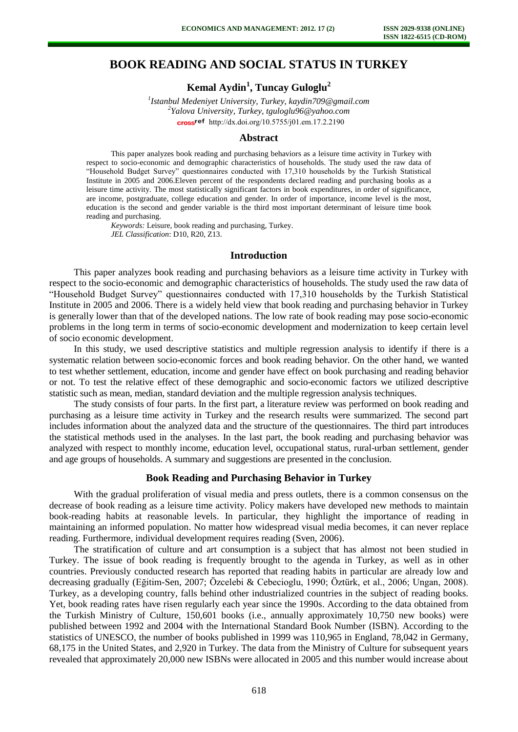# **BOOK READING AND SOCIAL STATUS IN TURKEY**

**Kemal Aydin<sup>1</sup> , Tuncay Guloglu<sup>2</sup>**

*1 Istanbul Medeniyet University, Turkey, kaydin709@gmail.com 2 Yalova University, Turkey, tguloglu96@yahoo.com*  cross<sup>ref</sup> [http://dx.doi.org/10.5755/j01.e](http://dx.doi.org/10.5755/j01.em.17.2.2190)m.17.2.2190

#### **Abstract**

This paper analyzes book reading and purchasing behaviors as a leisure time activity in Turkey with respect to socio-economic and demographic characteristics of households. The study used the raw data of "Household Budget Survey" questionnaires conducted with 17,310 households by the Turkish Statistical Institute in 2005 and 2006.Eleven percent of the respondents declared reading and purchasing books as a leisure time activity. The most statistically significant factors in book expenditures, in order of significance, are income, postgraduate, college education and gender. In order of importance, income level is the most, education is the second and gender variable is the third most important determinant of leisure time book reading and purchasing.

*Keywords:* Leisure, book reading and purchasing, Turkey. *JEL Classification*: D10, R20, Z13.

#### **Introduction**

This paper analyzes book reading and purchasing behaviors as a leisure time activity in Turkey with respect to the socio-economic and demographic characteristics of households. The study used the raw data of "Household Budget Survey" questionnaires conducted with 17,310 households by the Turkish Statistical Institute in 2005 and 2006. There is a widely held view that book reading and purchasing behavior in Turkey is generally lower than that of the developed nations. The low rate of book reading may pose socio-economic problems in the long term in terms of socio-economic development and modernization to keep certain level of socio economic development.

In this study, we used descriptive statistics and multiple regression analysis to identify if there is a systematic relation between socio-economic forces and book reading behavior. On the other hand, we wanted to test whether settlement, education, income and gender have effect on book purchasing and reading behavior or not. To test the relative effect of these demographic and socio-economic factors we utilized descriptive statistic such as mean, median, standard deviation and the multiple regression analysis techniques.

The study consists of four parts. In the first part, a literature review was performed on book reading and purchasing as a leisure time activity in Turkey and the research results were summarized. The second part includes information about the analyzed data and the structure of the questionnaires. The third part introduces the statistical methods used in the analyses. In the last part, the book reading and purchasing behavior was analyzed with respect to monthly income, education level, occupational status, rural-urban settlement, gender and age groups of households. A summary and suggestions are presented in the conclusion.

### **Book Reading and Purchasing Behavior in Turkey**

With the gradual proliferation of visual media and press outlets, there is a common consensus on the decrease of book reading as a leisure time activity. Policy makers have developed new methods to maintain book-reading habits at reasonable levels. In particular, they highlight the importance of reading in maintaining an informed population. No matter how widespread visual media becomes, it can never replace reading. Furthermore, individual development requires reading (Sven, 2006).

The stratification of culture and art consumption is a subject that has almost not been studied in Turkey. The issue of book reading is frequently brought to the agenda in Turkey, as well as in other countries. Previously conducted research has reported that reading habits in particular are already low and decreasing gradually (Eğitim-Sen, 2007; Özcelebi & Cebecioglu, 1990; Öztürk, et al., 2006; Ungan, 2008). Turkey, as a developing country, falls behind other industrialized countries in the subject of reading books. Yet, book reading rates have risen regularly each year since the 1990s. According to the data obtained from the Turkish Ministry of Culture, 150,601 books (i.e., annually approximately 10,750 new books) were published between 1992 and 2004 with the International Standard Book Number (ISBN). According to the statistics of UNESCO, the number of books published in 1999 was 110,965 in England, 78,042 in Germany, 68,175 in the United States, and 2,920 in Turkey. The data from the Ministry of Culture for subsequent years revealed that approximately 20,000 new ISBNs were allocated in 2005 and this number would increase about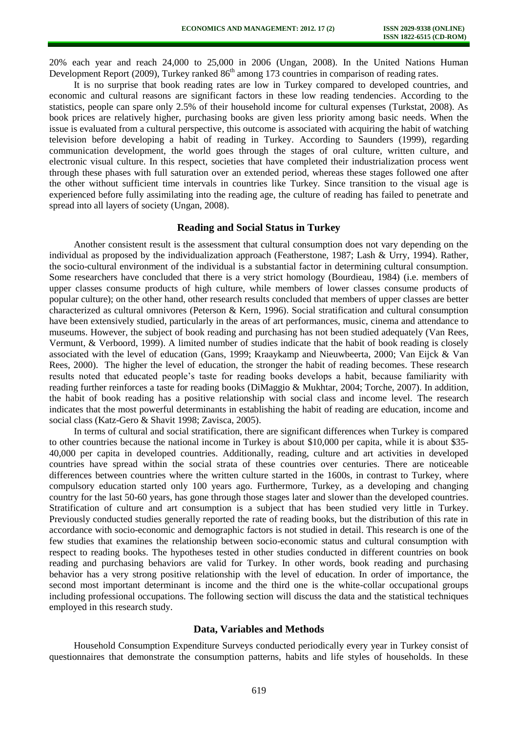20% each year and reach 24,000 to 25,000 in 2006 (Ungan, 2008). In the United Nations Human Development Report (2009), Turkey ranked 86<sup>th</sup> among 173 countries in comparison of reading rates.

It is no surprise that book reading rates are low in Turkey compared to developed countries, and economic and cultural reasons are significant factors in these low reading tendencies. According to the statistics, people can spare only 2.5% of their household income for cultural expenses (Turkstat, 2008). As book prices are relatively higher, purchasing books are given less priority among basic needs. When the issue is evaluated from a cultural perspective, this outcome is associated with acquiring the habit of watching television before developing a habit of reading in Turkey. According to Saunders (1999), regarding communication development, the world goes through the stages of oral culture, written culture, and electronic visual culture. In this respect, societies that have completed their industrialization process went through these phases with full saturation over an extended period, whereas these stages followed one after the other without sufficient time intervals in countries like Turkey. Since transition to the visual age is experienced before fully assimilating into the reading age, the culture of reading has failed to penetrate and spread into all layers of society (Ungan, 2008).

#### **Reading and Social Status in Turkey**

Another consistent result is the assessment that cultural consumption does not vary depending on the individual as proposed by the individualization approach (Featherstone, 1987; Lash & Urry, 1994). Rather, the socio-cultural environment of the individual is a substantial factor in determining cultural consumption. Some researchers have concluded that there is a very strict homology (Bourdieau, 1984) (i.e. members of upper classes consume products of high culture, while members of lower classes consume products of popular culture); on the other hand, other research results concluded that members of upper classes are better characterized as cultural omnivores (Peterson & Kern, 1996). Social stratification and cultural consumption have been extensively studied, particularly in the areas of art performances, music, cinema and attendance to museums. However, the subject of book reading and purchasing has not been studied adequately (Van Rees, Vermunt, & Verboord, 1999). A limited number of studies indicate that the habit of book reading is closely associated with the level of education (Gans, 1999; Kraaykamp and Nieuwbeerta, 2000; Van Eijck & Van Rees, 2000). The higher the level of education, the stronger the habit of reading becomes. These research results noted that educated people's taste for reading books develops a habit, because familiarity with reading further reinforces a taste for reading books (DiMaggio & Mukhtar, 2004; Torche, 2007). In addition, the habit of book reading has a positive relationship with social class and income level. The research indicates that the most powerful determinants in establishing the habit of reading are education, income and social class (Katz-Gero & Shavit 1998; Zavisca, 2005).

In terms of cultural and social stratification, there are significant differences when Turkey is compared to other countries because the national income in Turkey is about \$10,000 per capita, while it is about \$35- 40,000 per capita in developed countries. Additionally, reading, culture and art activities in developed countries have spread within the social strata of these countries over centuries. There are noticeable differences between countries where the written culture started in the 1600s, in contrast to Turkey, where compulsory education started only 100 years ago. Furthermore, Turkey, as a developing and changing country for the last 50-60 years, has gone through those stages later and slower than the developed countries. Stratification of culture and art consumption is a subject that has been studied very little in Turkey. Previously conducted studies generally reported the rate of reading books, but the distribution of this rate in accordance with socio-economic and demographic factors is not studied in detail. This research is one of the few studies that examines the relationship between socio-economic status and cultural consumption with respect to reading books. The hypotheses tested in other studies conducted in different countries on book reading and purchasing behaviors are valid for Turkey. In other words, book reading and purchasing behavior has a very strong positive relationship with the level of education. In order of importance, the second most important determinant is income and the third one is the white-collar occupational groups including professional occupations. The following section will discuss the data and the statistical techniques employed in this research study.

#### **Data, Variables and Methods**

Household Consumption Expenditure Surveys conducted periodically every year in Turkey consist of questionnaires that demonstrate the consumption patterns, habits and life styles of households. In these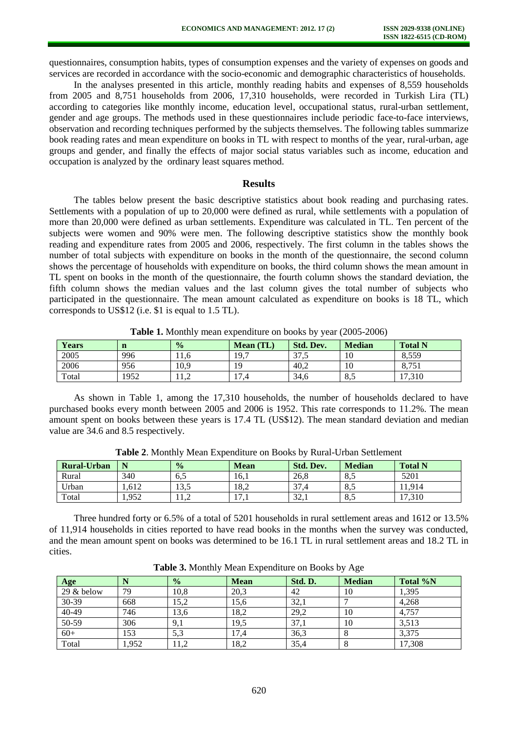questionnaires, consumption habits, types of consumption expenses and the variety of expenses on goods and services are recorded in accordance with the socio-economic and demographic characteristics of households.

In the analyses presented in this article, monthly reading habits and expenses of 8,559 households from 2005 and 8,751 households from 2006, 17,310 households, were recorded in Turkish Lira (TL) according to categories like monthly income, education level, occupational status, rural-urban settlement, gender and age groups. The methods used in these questionnaires include periodic face-to-face interviews, observation and recording techniques performed by the subjects themselves. The following tables summarize book reading rates and mean expenditure on books in TL with respect to months of the year, rural-urban, age groups and gender, and finally the effects of major social status variables such as income, education and occupation is analyzed by the ordinary least squares method.

#### **Results**

The tables below present the basic descriptive statistics about book reading and purchasing rates. Settlements with a population of up to 20,000 were defined as rural, while settlements with a population of more than 20,000 were defined as urban settlements. Expenditure was calculated in TL. Ten percent of the subjects were women and 90% were men. The following descriptive statistics show the monthly book reading and expenditure rates from 2005 and 2006, respectively. The first column in the tables shows the number of total subjects with expenditure on books in the month of the questionnaire, the second column shows the percentage of households with expenditure on books, the third column shows the mean amount in TL spent on books in the month of the questionnaire, the fourth column shows the standard deviation, the fifth column shows the median values and the last column gives the total number of subjects who participated in the questionnaire. The mean amount calculated as expenditure on books is 18 TL, which corresponds to US\$12 (i.e. \$1 is equal to 1.5 TL).

| .            |      |               |                  |                                  |               |                |
|--------------|------|---------------|------------------|----------------------------------|---------------|----------------|
| <b>Years</b> | n    | $\frac{0}{0}$ | <b>Mean</b> (TL) | <b>Std. Dev.</b>                 | <b>Median</b> | <b>Total N</b> |
| 2005         | 996  | 11.6          | 19,7             | $\overline{\phantom{a}}$<br>31.J | 10            | 8,559          |
| 2006         | 956  | 10.9          | 19               | 40.2                             | 10            | 8.751          |
| Total        | 1952 | 11,4          | 17.4             | 34,6                             | 8,5           | 17,310         |

**Table 1.** Monthly mean expenditure on books by year (2005-2006)

As shown in Table 1, among the 17,310 households, the number of households declared to have purchased books every month between 2005 and 2006 is 1952. This rate corresponds to 11.2%. The mean amount spent on books between these years is 17.4 TL (US\$12). The mean standard deviation and median value are 34.6 and 8.5 respectively.

| <b>Rural-Urban</b> |       | $\frac{0}{0}$ | Mean       | <b>Std. Dev.</b> | <b>Median</b>         | <b>Total N</b> |
|--------------------|-------|---------------|------------|------------------|-----------------------|----------------|
| Rural              | 340   | -6.5          | 16.1       | 26.8             | O <sub>5</sub><br>o.J | 5201           |
| Urban              | 1.612 | ل د ل         | 18.2       | $\sim$<br>- 37.4 | O <sub>5</sub><br>o.J | 11.914         |
| Total              | 1.952 | .             | 17<br>17.1 | 22<br>ا دیے ک    | O <sub>5</sub><br>o.J | 17,310         |

**Table 2**. Monthly Mean Expenditure on Books by Rural-Urban Settlement

Three hundred forty or 6.5% of a total of 5201 households in rural settlement areas and 1612 or 13.5% of 11,914 households in cities reported to have read books in the months when the survey was conducted, and the mean amount spent on books was determined to be 16.1 TL in rural settlement areas and 18.2 TL in cities.

| Age        |      | $\frac{0}{0}$ | <b>Mean</b> | Std. D. | <b>Median</b> | Total %N |
|------------|------|---------------|-------------|---------|---------------|----------|
| 29 & below | 79   | 10,8          | 20,3        | 42      | 10            | 1,395    |
| $30 - 39$  | 668  | 15,2          | 15,6        | 32,1    |               | 4,268    |
| $40-49$    | 746  | 13,6          | 18,2        | 29,2    | 10            | 4,757    |
| $50-59$    | 306  | 9,1           | 19,5        | 37,1    | 10            | 3,513    |
| $60+$      | 153  | 5,3           | 17,4        | 36,3    |               | 3,375    |
| Total      | ,952 | 11,2          | 18,2        | 35,4    |               | 17,308   |

**Table 3.** Monthly Mean Expenditure on Books by Age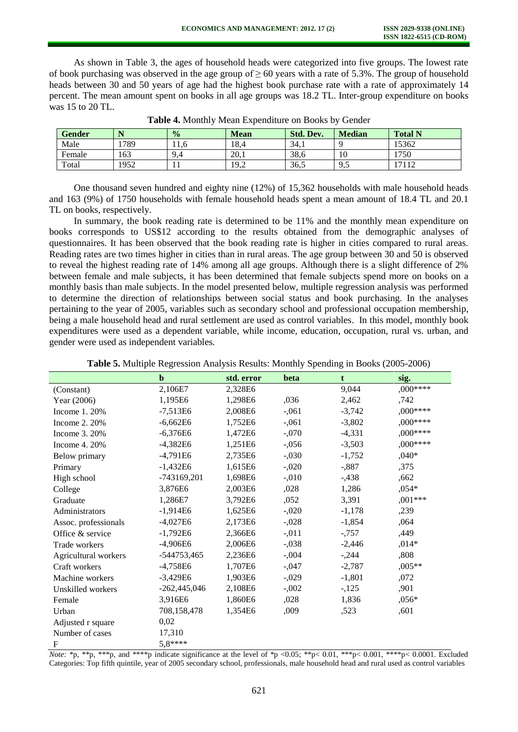As shown in Table 3, the ages of household heads were categorized into five groups. The lowest rate of book purchasing was observed in the age group of  $\geq 60$  years with a rate of 5.3%. The group of household heads between 30 and 50 years of age had the highest book purchase rate with a rate of approximately 14 percent. The mean amount spent on books in all age groups was 18.2 TL. Inter-group expenditure on books was 15 to 20 TL.

| <b>Gender</b> |      | $\frac{0}{0}$ | <b>Mean</b> | <b>Std. Dev.</b> | <b>Median</b>   | <b>Total N</b> |
|---------------|------|---------------|-------------|------------------|-----------------|----------------|
| Male          | 1789 | 11.0          | 18.4        | 34.1             |                 | 15362          |
| Female        | 163  | 9.4           | 20.1        | 38,6             | 10              | 1750           |
| Total         | 1952 | . .           | 19.2        | 36,5             | $\Omega$<br>ノ・シ | 17112          |

**Table 4.** Monthly Mean Expenditure on Books by Gender

One thousand seven hundred and eighty nine (12%) of 15,362 households with male household heads and 163 (9%) of 1750 households with female household heads spent a mean amount of 18.4 TL and 20.1 TL on books, respectively.

In summary, the book reading rate is determined to be 11% and the monthly mean expenditure on books corresponds to US\$12 according to the results obtained from the demographic analyses of questionnaires. It has been observed that the book reading rate is higher in cities compared to rural areas. Reading rates are two times higher in cities than in rural areas. The age group between 30 and 50 is observed to reveal the highest reading rate of 14% among all age groups. Although there is a slight difference of 2% between female and male subjects, it has been determined that female subjects spend more on books on a monthly basis than male subjects. In the model presented below, multiple regression analysis was performed to determine the direction of relationships between social status and book purchasing. In the analyses pertaining to the year of 2005, variables such as secondary school and professional occupation membership, being a male household head and rural settlement are used as control variables. In this model, monthly book expenditures were used as a dependent variable, while income, education, occupation, rural vs. urban, and gender were used as independent variables.

|                      | $\mathbf b$    | std. error | beta     | t        | sig.      |
|----------------------|----------------|------------|----------|----------|-----------|
| (Constant)           | 2,106E7        | 2,328E6    |          | 9,044    | ,000****  |
| Year (2006)          | 1,195E6        | 1,298E6    | ,036     | 2,462    | ,742      |
| Income 1.20%         | $-7,513E6$     | 2,008E6    | $-0.061$ | $-3,742$ | $,000***$ |
| Income 2. 20%        | $-6,662E6$     | 1,752E6    | $-0.061$ | $-3,802$ | ,000****  |
| Income 3. 20%        | $-6,376E6$     | 1,472E6    | $-.070$  | $-4,331$ | ,000****  |
| Income $4.20%$       | $-4,382E6$     | 1,251E6    | $-0.056$ | $-3,503$ | ,000****  |
| Below primary        | $-4,791E6$     | 2,735E6    | $-0.030$ | $-1,752$ | $,040*$   |
| Primary              | $-1.432E6$     | 1,615E6    | $-0.020$ | $-0.887$ | ,375      |
| High school          | -743169,201    | 1,698E6    | $-.010$  | $-438$   | ,662      |
| College              | 3,876E6        | 2,003E6    | ,028     | 1,286    | $,054*$   |
| Graduate             | 1,286E7        | 3,792E6    | ,052     | 3,391    | ,001***   |
| Administrators       | $-1.914E6$     | 1,625E6    | $-.020$  | $-1,178$ | ,239      |
| Assoc. professionals | $-4,027E6$     | 2,173E6    | $-.028$  | $-1,854$ | ,064      |
| Office & service     | $-1,792E6$     | 2,366E6    | $-0.011$ | $-0.757$ | ,449      |
| Trade workers        | $-4,906E6$     | 2,006E6    | $-.038$  | $-2,446$ | $,014*$   |
| Agricultural workers | -544753,465    | 2,236E6    | $-.004$  | $-.244$  | ,808      |
| Craft workers        | $-4,758E6$     | 1,707E6    | $-0.047$ | $-2,787$ | $,005**$  |
| Machine workers      | $-3,429E6$     | 1,903E6    | $-0.029$ | $-1,801$ | ,072      |
| Unskilled workers    | $-262,445,046$ | 2,108E6    | $-.002$  | $-125$   | ,901      |
| Female               | 3,916E6        | 1,860E6    | ,028     | 1,836    | $,056*$   |
| Urban                | 708,158,478    | 1,354E6    | ,009     | ,523     | ,601      |
| Adjusted r square    | 0,02           |            |          |          |           |
| Number of cases      | 17,310         |            |          |          |           |
| F                    | 5,8****        |            |          |          |           |

|  | Table 5. Multiple Regression Analysis Results: Monthly Spending in Books (2005-2006) |  |
|--|--------------------------------------------------------------------------------------|--|
|  |                                                                                      |  |

*Note:* \*p, \*\*p, \*\*\*p, and \*\*\*\*p indicate significance at the level of \*p <0.05; \*\*p< 0.01, \*\*\*p< 0.001, \*\*\*p< 0.0001. Excluded Categories: Top fifth quintile, year of 2005 secondary school, professionals, male household head and rural used as control variables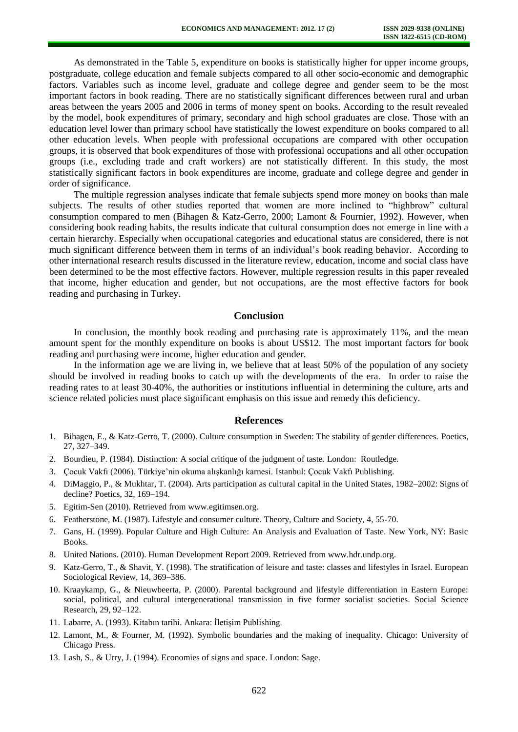As demonstrated in the Table 5, expenditure on books is statistically higher for upper income groups, postgraduate, college education and female subjects compared to all other socio-economic and demographic factors. Variables such as income level, graduate and college degree and gender seem to be the most important factors in book reading. There are no statistically significant differences between rural and urban areas between the years 2005 and 2006 in terms of money spent on books. According to the result revealed by the model, book expenditures of primary, secondary and high school graduates are close. Those with an education level lower than primary school have statistically the lowest expenditure on books compared to all other education levels. When people with professional occupations are compared with other occupation groups, it is observed that book expenditures of those with professional occupations and all other occupation groups (i.e., excluding trade and craft workers) are not statistically different. In this study, the most statistically significant factors in book expenditures are income, graduate and college degree and gender in order of significance.

The multiple regression analyses indicate that female subjects spend more money on books than male subjects. The results of other studies reported that women are more inclined to "highbrow" cultural consumption compared to men (Bihagen & Katz-Gerro, 2000; Lamont & Fournier, 1992). However, when considering book reading habits, the results indicate that cultural consumption does not emerge in line with a certain hierarchy. Especially when occupational categories and educational status are considered, there is not much significant difference between them in terms of an individual's book reading behavior. According to other international research results discussed in the literature review, education, income and social class have been determined to be the most effective factors. However, multiple regression results in this paper revealed that income, higher education and gender, but not occupations, are the most effective factors for book reading and purchasing in Turkey.

## **Conclusion**

In conclusion, the monthly book reading and purchasing rate is approximately 11%, and the mean amount spent for the monthly expenditure on books is about US\$12. The most important factors for book reading and purchasing were income, higher education and gender.

In the information age we are living in, we believe that at least 50% of the population of any society should be involved in reading books to catch up with the developments of the era. In order to raise the reading rates to at least 30-40%, the authorities or institutions influential in determining the culture, arts and science related policies must place significant emphasis on this issue and remedy this deficiency.

#### **References**

- 1. Bihagen, E., & Katz-Gerro, T. (2000). Culture consumption in Sweden: The stability of gender differences. Poetics, 27, 327–349.
- 2. Bourdieu, P. (1984). Distinction: A social critique of the judgment of taste. London: Routledge.
- 3. Çocuk Vakfı (2006). Türkiye'nin okuma alışkanlığı karnesi. Istanbul: Çocuk Vakfı Publishing.
- 4. DiMaggio, P., & Mukhtar, T. (2004). Arts participation as cultural capital in the United States, 1982–2002: Signs of decline? Poetics, 32, 169–194.
- 5. Egitim-Sen (2010). Retrieved from www.egitimsen.org.
- 6. Featherstone, M. (1987). Lifestyle and consumer culture. Theory, Culture and Society, 4, 55-70.
- 7. Gans, H. (1999). Popular Culture and High Culture: An Analysis and Evaluation of Taste. New York, NY: Basic Books.
- 8. United Nations. (2010). Human Development Report 2009. Retrieved from [www.hdr.undp.org.](http://www.hdr.undp.org/)
- 9. Katz-Gerro, T., & Shavit, Y. (1998). The stratification of leisure and taste: classes and lifestyles in Israel. European Sociological Review, 14, 369–386.
- 10. Kraaykamp, G., & Nieuwbeerta, P. (2000). Parental background and lifestyle differentiation in Eastern Europe: social, political, and cultural intergenerational transmission in five former socialist societies. Social Science Research, 29, 92–122.
- 11. Labarre, A. (1993). Kitabın tarihi. Ankara: İletişim Publishing.
- 12. Lamont, M., & Fourner, M. (1992). Symbolic boundaries and the making of inequality. Chicago: University of Chicago Press.
- 13. Lash, S., & Urry, J. (1994). Economies of signs and space. London: Sage.